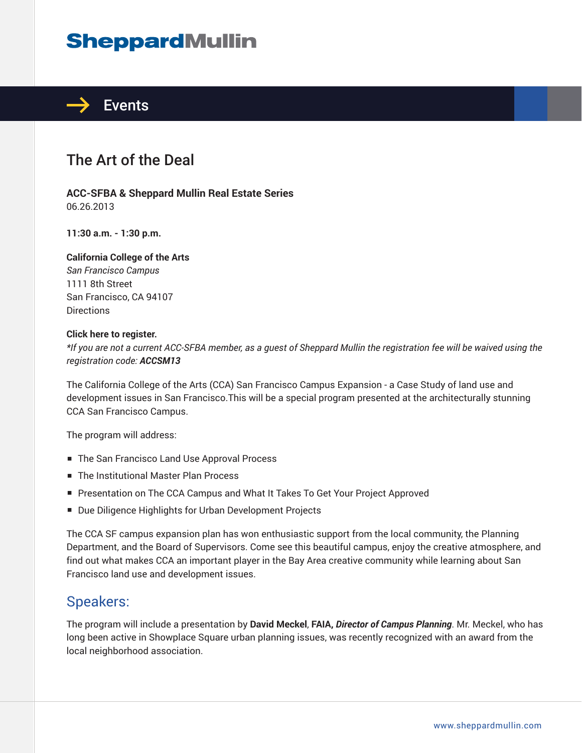# **SheppardMullin**



## The Art of the Deal

**ACC-SFBA & Sheppard Mullin Real Estate Series** 06.26.2013

**11:30 a.m. - 1:30 p.m.**

#### **California College of the Arts**

*San Francisco Campus* 1111 8th Street San Francisco, CA 94107 **Directions** 

#### **Click here to register.**

*\*If you are not a current ACC-SFBA member, as a guest of Sheppard Mullin the registration fee will be waived using the registration code: ACCSM13*

The California College of the Arts (CCA) San Francisco Campus Expansion - a Case Study of land use and development issues in San Francisco.This will be a special program presented at the architecturally stunning CCA San Francisco Campus.

The program will address:

- The San Francisco Land Use Approval Process
- The Institutional Master Plan Process
- Presentation on The CCA Campus and What It Takes To Get Your Project Approved
- Due Diligence Highlights for Urban Development Projects

The CCA SF campus expansion plan has won enthusiastic support from the local community, the Planning Department, and the Board of Supervisors. Come see this beautiful campus, enjoy the creative atmosphere, and find out what makes CCA an important player in the Bay Area creative community while learning about San Francisco land use and development issues.

#### Speakers:

The program will include a presentation by **David Meckel**, **FAIA,** *Director of Campus Planning*. Mr. Meckel, who has long been active in Showplace Square urban planning issues, was recently recognized with an award from the local neighborhood association.